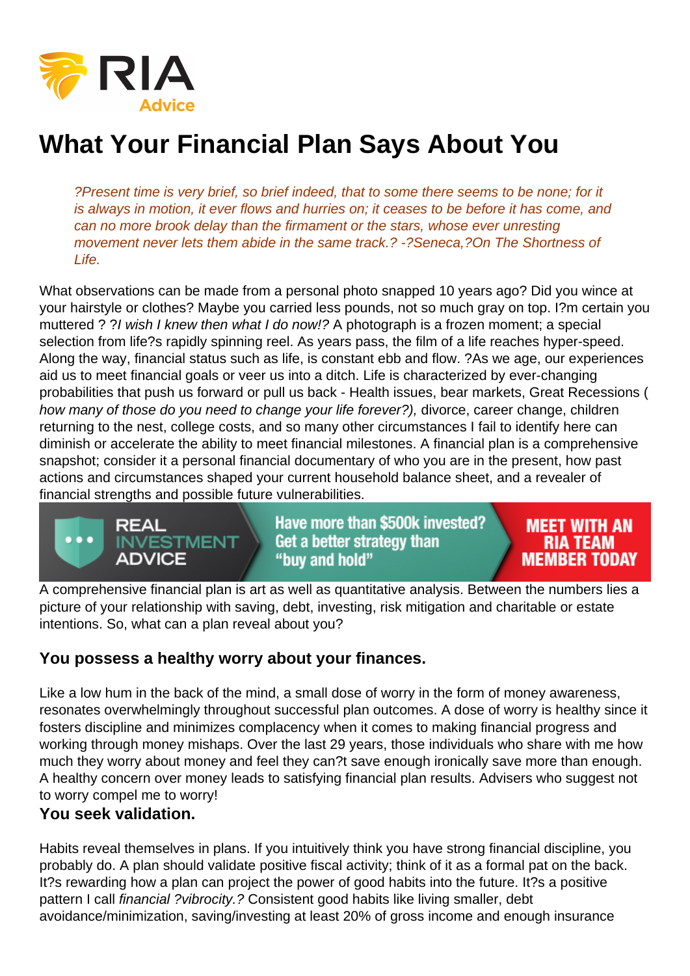## What Your Financial Plan Says About You

?Present time is very brief, so brief indeed, that to some there seems to be none; for it is always in motion, it ever flows and hurries on; it ceases to be before it has come, and can no more brook delay than the firmament or the stars, whose ever unresting movement never lets them abide in the same track.? -?Seneca,?On The Shortness of Life.

What observations can be made from a personal photo snapped 10 years ago? Did you wince at your hairstyle or clothes? Maybe you carried less pounds, not so much gray on top. I?m certain you muttered ? ?I wish I knew then what I do now!? A photograph is a frozen moment; a special selection from life?s rapidly spinning reel. As years pass, the film of a life reaches hyper-speed. Along the way, financial status such as life, is constant ebb and flow. ?As we age, our experiences aid us to meet financial goals or veer us into a ditch. Life is characterized by ever-changing probabilities that push us forward or pull us back - Health issues, bear markets, Great Recessions ( how many of those do you need to change your life forever?), divorce, career change, children returning to the nest, college costs, and so many other circumstances I fail to identify here can diminish or accelerate the ability to meet financial milestones. A financial plan is a comprehensive snapshot; consider it a personal financial documentary of who you are in the present, how past actions and circumstances shaped your current household balance sheet, and a revealer of financial strengths and possible future vulnerabilities.

A comprehensive financial plan is art as well as quantitative analysis. Between the numbers lies a picture of your relationship with saving, debt, investing, risk mitigation and charitable or estate intentions. So, what can a plan reveal about you?

## You possess a healthy worry about your finances.

Like a low hum in the back of the mind, a small dose of worry in the form of money awareness, resonates overwhelmingly throughout successful plan outcomes. A dose of worry is healthy since it fosters discipline and minimizes complacency when it comes to making financial progress and working through money mishaps. Over the last 29 years, those individuals who share with me how much they worry about money and feel they can?t save enough ironically save more than enough. A healthy concern over money leads to satisfying financial plan results. Advisers who suggest not to worry compel me to worry!

You seek validation.

Habits reveal themselves in plans. If you intuitively think you have strong financial discipline, you probably do. A plan should validate positive fiscal activity; think of it as a formal pat on the back. It?s rewarding how a plan can project the power of good habits into the future. It?s a positive pattern I call financial ?vibrocity.? Consistent good habits like living smaller, debt avoidance/minimization, saving/investing at least 20% of gross income and enough insurance